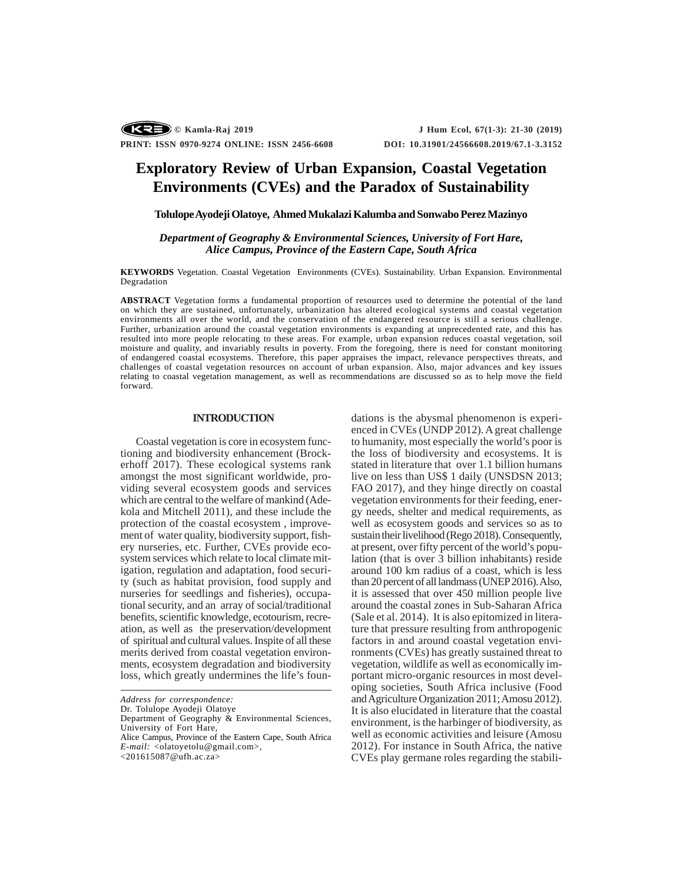# **Exploratory Review of Urban Expansion, Coastal Vegetation Environments (CVEs) and the Paradox of Sustainability**

# **Tolulope Ayodeji Olatoye, Ahmed Mukalazi Kalumba and Sonwabo Perez Mazinyo**

*Department of Geography & Environmental Sciences, University of Fort Hare, Alice Campus, Province of the Eastern Cape, South Africa*

**KEYWORDS** Vegetation. Coastal Vegetation Environments (CVEs). Sustainability. Urban Expansion. Environmental Degradation

**ABSTRACT** Vegetation forms a fundamental proportion of resources used to determine the potential of the land on which they are sustained, unfortunately, urbanization has altered ecological systems and coastal vegetation environments all over the world, and the conservation of the endangered resource is still a serious challenge. Further, urbanization around the coastal vegetation environments is expanding at unprecedented rate, and this has resulted into more people relocating to these areas. For example, urban expansion reduces coastal vegetation, soil moisture and quality, and invariably results in poverty. From the foregoing, there is need for constant monitoring of endangered coastal ecosystems. Therefore, this paper appraises the impact, relevance perspectives threats, and challenges of coastal vegetation resources on account of urban expansion. Also, major advances and key issues relating to coastal vegetation management, as well as recommendations are discussed so as to help move the field forward.

## **INTRODUCTION**

Coastal vegetation is core in ecosystem functioning and biodiversity enhancement (Brockerhoff 2017). These ecological systems rank amongst the most significant worldwide, providing several ecosystem goods and services which are central to the welfare of mankind (Adekola and Mitchell 2011), and these include the protection of the coastal ecosystem , improvement of water quality, biodiversity support, fishery nurseries, etc. Further, CVEs provide ecosystem services which relate to local climate mitigation, regulation and adaptation, food security (such as habitat provision, food supply and nurseries for seedlings and fisheries), occupational security, and an array of social/traditional benefits, scientific knowledge, ecotourism, recreation, as well as the preservation/development of spiritual and cultural values. Inspite of all these merits derived from coastal vegetation environments, ecosystem degradation and biodiversity loss, which greatly undermines the life's foun-

Dr. Tolulope Ayodeji Olatoye

<201615087@ufh.ac.za>

dations is the abysmal phenomenon is experienced in CVEs (UNDP 2012). A great challenge to humanity, most especially the world's poor is the loss of biodiversity and ecosystems. It is stated in literature that over 1.1 billion humans live on less than US\$ 1 daily (UNSDSN 2013; FAO 2017), and they hinge directly on coastal vegetation environments for their feeding, energy needs, shelter and medical requirements, as well as ecosystem goods and services so as to sustain their livelihood (Rego 2018). Consequently, at present, over fifty percent of the world's population (that is over 3 billion inhabitants) reside around 100 km radius of a coast, which is less than 20 percent of all landmass (UNEP 2016). Also, it is assessed that over 450 million people live around the coastal zones in Sub-Saharan Africa (Sale et al. 2014). It is also epitomized in literature that pressure resulting from anthropogenic factors in and around coastal vegetation environments (CVEs) has greatly sustained threat to vegetation, wildlife as well as economically important micro-organic resources in most developing societies, South Africa inclusive (Food and Agriculture Organization 2011; Amosu 2012). It is also elucidated in literature that the coastal environment, is the harbinger of biodiversity, as well as economic activities and leisure (Amosu 2012). For instance in South Africa, the native CVEs play germane roles regarding the stabili-

*Address for correspondence:*

Department of Geography & Environmental Sciences, University of Fort Hare,

Alice Campus, Province of the Eastern Cape, South Africa *E-mail:* <olatoyetolu@gmail.com>,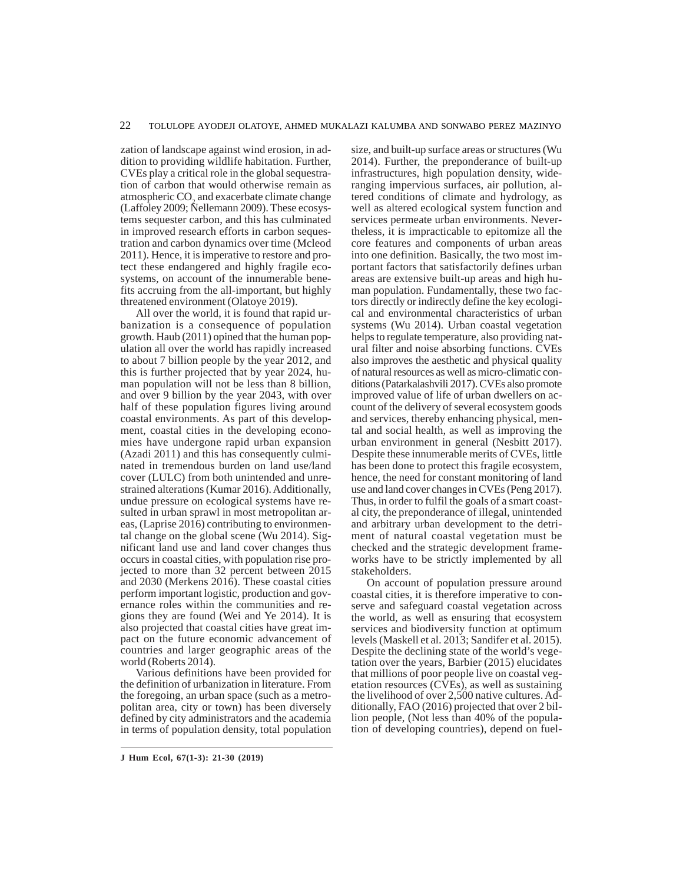zation of landscape against wind erosion, in addition to providing wildlife habitation. Further, CVEs play a critical role in the global sequestration of carbon that would otherwise remain as atmospheric  $CO<sub>2</sub>$  and exacerbate climate change (Laffoley 2009; Nellemann 2009). These ecosystems sequester carbon, and this has culminated in improved research efforts in carbon sequestration and carbon dynamics over time (Mcleod 2011). Hence, it is imperative to restore and protect these endangered and highly fragile ecosystems, on account of the innumerable benefits accruing from the all-important, but highly threatened environment (Olatoye 2019).

All over the world, it is found that rapid urbanization is a consequence of population growth. Haub (2011) opined that the human population all over the world has rapidly increased to about 7 billion people by the year 2012, and this is further projected that by year 2024, human population will not be less than 8 billion, and over 9 billion by the year 2043, with over half of these population figures living around coastal environments. As part of this development, coastal cities in the developing economies have undergone rapid urban expansion (Azadi 2011) and this has consequently culminated in tremendous burden on land use/land cover (LULC) from both unintended and unrestrained alterations (Kumar 2016). Additionally, undue pressure on ecological systems have resulted in urban sprawl in most metropolitan areas, (Laprise 2016) contributing to environmental change on the global scene (Wu 2014). Significant land use and land cover changes thus occurs in coastal cities, with population rise projected to more than 32 percent between 2015 and 2030 (Merkens 2016). These coastal cities perform important logistic, production and governance roles within the communities and regions they are found (Wei and Ye 2014). It is also projected that coastal cities have great impact on the future economic advancement of countries and larger geographic areas of the world (Roberts 2014).

Various definitions have been provided for the definition of urbanization in literature. From the foregoing, an urban space (such as a metropolitan area, city or town) has been diversely defined by city administrators and the academia in terms of population density, total population size, and built-up surface areas or structures (Wu 2014). Further, the preponderance of built-up infrastructures, high population density, wideranging impervious surfaces, air pollution, altered conditions of climate and hydrology, as well as altered ecological system function and services permeate urban environments. Nevertheless, it is impracticable to epitomize all the core features and components of urban areas into one definition. Basically, the two most important factors that satisfactorily defines urban areas are extensive built-up areas and high human population. Fundamentally, these two factors directly or indirectly define the key ecological and environmental characteristics of urban systems (Wu 2014). Urban coastal vegetation helps to regulate temperature, also providing natural filter and noise absorbing functions. CVEs also improves the aesthetic and physical quality of natural resources as well as micro-climatic conditions (Patarkalashvili 2017). CVEs also promote improved value of life of urban dwellers on account of the delivery of several ecosystem goods and services, thereby enhancing physical, mental and social health, as well as improving the urban environment in general (Nesbitt 2017). Despite these innumerable merits of CVEs, little has been done to protect this fragile ecosystem, hence, the need for constant monitoring of land use and land cover changes in CVEs (Peng 2017). Thus, in order to fulfil the goals of a smart coastal city, the preponderance of illegal, unintended and arbitrary urban development to the detriment of natural coastal vegetation must be checked and the strategic development frameworks have to be strictly implemented by all stakeholders.

On account of population pressure around coastal cities, it is therefore imperative to conserve and safeguard coastal vegetation across the world, as well as ensuring that ecosystem services and biodiversity function at optimum levels (Maskell et al. 2013; Sandifer et al. 2015). Despite the declining state of the world's vegetation over the years, Barbier (2015) elucidates that millions of poor people live on coastal vegetation resources (CVEs), as well as sustaining the livelihood of over 2,500 native cultures. Additionally, FAO (2016) projected that over 2 billion people, (Not less than 40% of the population of developing countries), depend on fuel-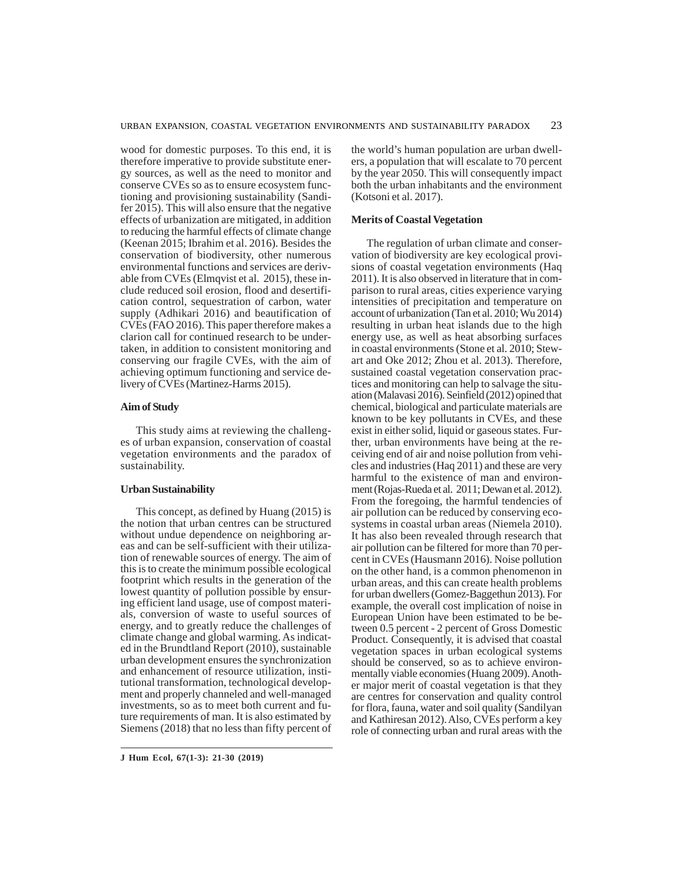wood for domestic purposes. To this end, it is therefore imperative to provide substitute energy sources, as well as the need to monitor and conserve CVEs so as to ensure ecosystem functioning and provisioning sustainability (Sandifer 2015). This will also ensure that the negative effects of urbanization are mitigated, in addition to reducing the harmful effects of climate change (Keenan 2015; Ibrahim et al. 2016). Besides the conservation of biodiversity, other numerous environmental functions and services are derivable from CVEs (Elmqvist et al. 2015), these include reduced soil erosion, flood and desertification control, sequestration of carbon, water supply (Adhikari 2016) and beautification of CVEs (FAO 2016). This paper therefore makes a clarion call for continued research to be undertaken, in addition to consistent monitoring and conserving our fragile CVEs, with the aim of achieving optimum functioning and service delivery of CVEs (Martinez-Harms 2015).

# **Aim of Study**

This study aims at reviewing the challenges of urban expansion, conservation of coastal vegetation environments and the paradox of sustainability.

# **Urban Sustainability**

This concept, as defined by Huang (2015) is the notion that urban centres can be structured without undue dependence on neighboring areas and can be self-sufficient with their utilization of renewable sources of energy. The aim of this is to create the minimum possible ecological footprint which results in the generation of the lowest quantity of pollution possible by ensuring efficient land usage, use of compost materials, conversion of waste to useful sources of energy, and to greatly reduce the challenges of climate change and global warming. As indicated in the Brundtland Report (2010), sustainable urban development ensures the synchronization and enhancement of resource utilization, institutional transformation, technological development and properly channeled and well-managed investments, so as to meet both current and future requirements of man. It is also estimated by Siemens (2018) that no less than fifty percent of

**J Hum Ecol, 67(1-3): 21-30 (2019)**

the world's human population are urban dwellers, a population that will escalate to 70 percent by the year 2050. This will consequently impact both the urban inhabitants and the environment (Kotsoni et al. 2017).

## **Merits of Coastal Vegetation**

The regulation of urban climate and conservation of biodiversity are key ecological provisions of coastal vegetation environments (Haq 2011). It is also observed in literature that in comparison to rural areas, cities experience varying intensities of precipitation and temperature on account of urbanization (Tan et al. 2010; Wu 2014) resulting in urban heat islands due to the high energy use, as well as heat absorbing surfaces in coastal environments (Stone et al. 2010; Stewart and Oke 2012; Zhou et al. 2013). Therefore, sustained coastal vegetation conservation practices and monitoring can help to salvage the situation (Malavasi 2016). Seinfield (2012) opined that chemical, biological and particulate materials are known to be key pollutants in CVEs, and these exist in either solid, liquid or gaseous states. Further, urban environments have being at the receiving end of air and noise pollution from vehicles and industries (Haq 2011) and these are very harmful to the existence of man and environment (Rojas-Rueda et al. 2011; Dewan et al. 2012). From the foregoing, the harmful tendencies of air pollution can be reduced by conserving ecosystems in coastal urban areas (Niemela 2010). It has also been revealed through research that air pollution can be filtered for more than 70 percent in CVEs (Hausmann 2016). Noise pollution on the other hand, is a common phenomenon in urban areas, and this can create health problems for urban dwellers (Gomez-Baggethun 2013). For example, the overall cost implication of noise in European Union have been estimated to be between 0.5 percent - 2 percent of Gross Domestic Product. Consequently, it is advised that coastal vegetation spaces in urban ecological systems should be conserved, so as to achieve environmentally viable economies (Huang 2009). Another major merit of coastal vegetation is that they are centres for conservation and quality control for flora, fauna, water and soil quality (Sandilyan and Kathiresan 2012). Also, CVEs perform a key role of connecting urban and rural areas with the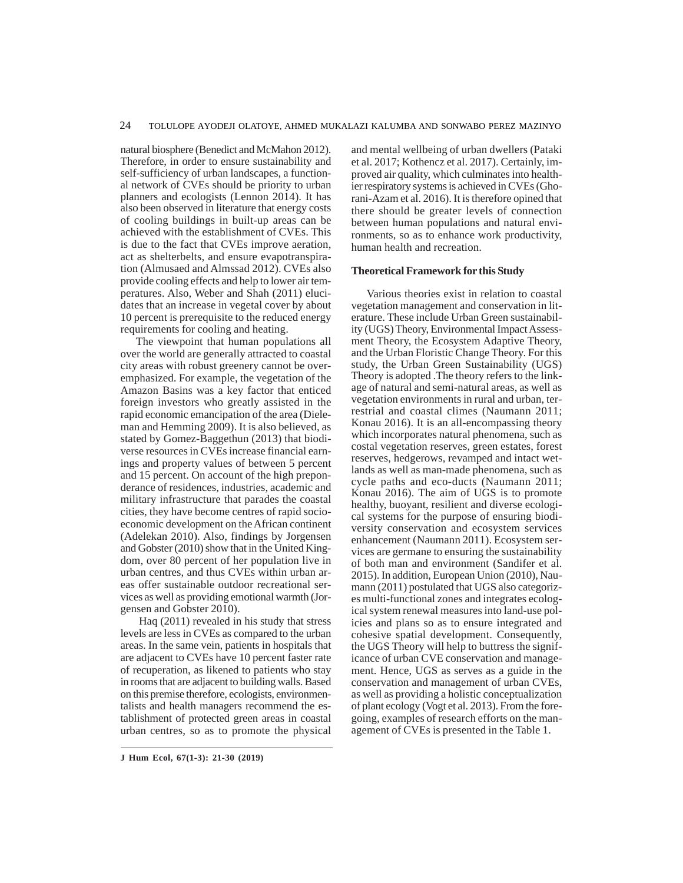natural biosphere (Benedict and McMahon 2012). Therefore, in order to ensure sustainability and self-sufficiency of urban landscapes, a functional network of CVEs should be priority to urban planners and ecologists (Lennon 2014). It has also been observed in literature that energy costs of cooling buildings in built-up areas can be achieved with the establishment of CVEs. This is due to the fact that CVEs improve aeration, act as shelterbelts, and ensure evapotranspiration (Almusaed and Almssad 2012). CVEs also provide cooling effects and help to lower air temperatures. Also, Weber and Shah (2011) elucidates that an increase in vegetal cover by about 10 percent is prerequisite to the reduced energy requirements for cooling and heating.

The viewpoint that human populations all over the world are generally attracted to coastal city areas with robust greenery cannot be overemphasized. For example, the vegetation of the Amazon Basins was a key factor that enticed foreign investors who greatly assisted in the rapid economic emancipation of the area (Dieleman and Hemming 2009). It is also believed, as stated by Gomez-Baggethun (2013) that biodiverse resources in CVEs increase financial earnings and property values of between 5 percent and 15 percent. On account of the high preponderance of residences, industries, academic and military infrastructure that parades the coastal cities, they have become centres of rapid socioeconomic development on the African continent (Adelekan 2010). Also, findings by Jorgensen and Gobster (2010) show that in the United Kingdom, over 80 percent of her population live in urban centres, and thus CVEs within urban areas offer sustainable outdoor recreational services as well as providing emotional warmth (Jorgensen and Gobster 2010).

 Haq (2011) revealed in his study that stress levels are less in CVEs as compared to the urban areas. In the same vein, patients in hospitals that are adjacent to CVEs have 10 percent faster rate of recuperation, as likened to patients who stay in rooms that are adjacent to building walls. Based on this premise therefore, ecologists, environmentalists and health managers recommend the establishment of protected green areas in coastal urban centres, so as to promote the physical and mental wellbeing of urban dwellers (Pataki et al. 2017; Kothencz et al. 2017). Certainly, improved air quality, which culminates into healthier respiratory systems is achieved in CVEs (Ghorani-Azam et al. 2016). It is therefore opined that there should be greater levels of connection between human populations and natural environments, so as to enhance work productivity, human health and recreation.

# **Theoretical Framework for this Study**

Various theories exist in relation to coastal vegetation management and conservation in literature. These include Urban Green sustainability (UGS) Theory, Environmental Impact Assessment Theory, the Ecosystem Adaptive Theory, and the Urban Floristic Change Theory. For this study, the Urban Green Sustainability (UGS) Theory is adopted .The theory refers to the linkage of natural and semi-natural areas, as well as vegetation environments in rural and urban, terrestrial and coastal climes (Naumann 2011; Konau 2016). It is an all-encompassing theory which incorporates natural phenomena, such as costal vegetation reserves, green estates, forest reserves, hedgerows, revamped and intact wetlands as well as man-made phenomena, such as cycle paths and eco-ducts (Naumann 2011; Konau 2016). The aim of UGS is to promote healthy, buoyant, resilient and diverse ecological systems for the purpose of ensuring biodiversity conservation and ecosystem services enhancement (Naumann 2011). Ecosystem services are germane to ensuring the sustainability of both man and environment (Sandifer et al. 2015). In addition, European Union (2010), Naumann (2011) postulated that UGS also categorizes multi-functional zones and integrates ecological system renewal measures into land-use policies and plans so as to ensure integrated and cohesive spatial development. Consequently, the UGS Theory will help to buttress the significance of urban CVE conservation and management. Hence, UGS as serves as a guide in the conservation and management of urban CVEs, as well as providing a holistic conceptualization of plant ecology (Vogt et al. 2013). From the foregoing, examples of research efforts on the management of CVEs is presented in the Table 1.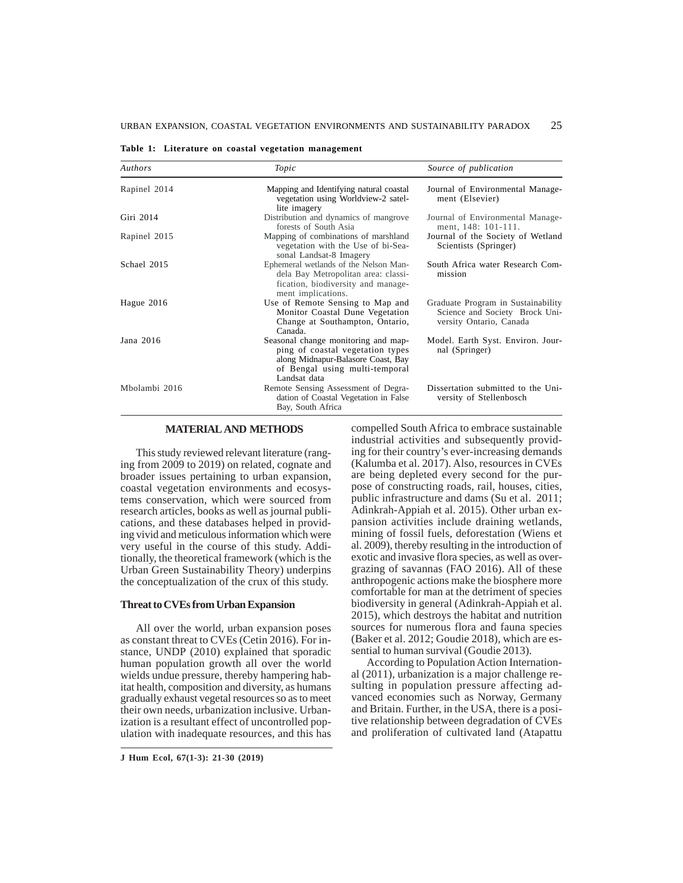**Table 1: Literature on coastal vegetation management**

| Authors       | Topic                                                                                                                                                           | Source of publication                                                                           |
|---------------|-----------------------------------------------------------------------------------------------------------------------------------------------------------------|-------------------------------------------------------------------------------------------------|
| Rapinel 2014  | Mapping and Identifying natural coastal<br>vegetation using Worldview-2 satel-<br>lite imagery                                                                  | Journal of Environmental Manage-<br>ment (Elsevier)                                             |
| Giri 2014     | Distribution and dynamics of mangrove<br>forests of South Asia                                                                                                  | Journal of Environmental Manage-<br>ment, 148: 101-111.                                         |
| Rapinel 2015  | Mapping of combinations of marshland<br>vegetation with the Use of bi-Sea-<br>sonal Landsat-8 Imagery                                                           | Journal of the Society of Wetland<br>Scientists (Springer)                                      |
| Schael 2015   | Ephemeral wetlands of the Nelson Man-<br>dela Bay Metropolitan area: classi-<br>fication, biodiversity and manage-<br>ment implications.                        | South Africa water Research Com-<br>mission                                                     |
| Hague 2016    | Use of Remote Sensing to Map and<br>Monitor Coastal Dune Vegetation<br>Change at Southampton, Ontario,<br>Canada.                                               | Graduate Program in Sustainability<br>Science and Society Brock Uni-<br>versity Ontario, Canada |
| Jana 2016     | Seasonal change monitoring and map-<br>ping of coastal vegetation types<br>along Midnapur-Balasore Coast, Bay<br>of Bengal using multi-temporal<br>Landsat data | Model. Earth Syst. Environ. Jour-<br>nal (Springer)                                             |
| Mbolambi 2016 | Remote Sensing Assessment of Degra-<br>dation of Coastal Vegetation in False<br>Bay, South Africa                                                               | Dissertation submitted to the Uni-<br>versity of Stellenbosch                                   |

#### **MATERIAL AND METHODS**

This study reviewed relevant literature (ranging from 2009 to 2019) on related, cognate and broader issues pertaining to urban expansion, coastal vegetation environments and ecosystems conservation, which were sourced from research articles, books as well as journal publications, and these databases helped in providing vivid and meticulous information which were very useful in the course of this study. Additionally, the theoretical framework (which is the Urban Green Sustainability Theory) underpins the conceptualization of the crux of this study.

## **Threat to CVEs from Urban Expansion**

All over the world, urban expansion poses as constant threat to CVEs (Cetin 2016). For instance, UNDP (2010) explained that sporadic human population growth all over the world wields undue pressure, thereby hampering habitat health, composition and diversity, as humans gradually exhaust vegetal resources so as to meet their own needs, urbanization inclusive. Urbanization is a resultant effect of uncontrolled population with inadequate resources, and this has

**J Hum Ecol, 67(1-3): 21-30 (2019)**

compelled South Africa to embrace sustainable industrial activities and subsequently providing for their country's ever-increasing demands (Kalumba et al. 2017). Also, resources in CVEs are being depleted every second for the purpose of constructing roads, rail, houses, cities, public infrastructure and dams (Su et al. 2011; Adinkrah-Appiah et al. 2015). Other urban expansion activities include draining wetlands, mining of fossil fuels, deforestation (Wiens et al. 2009), thereby resulting in the introduction of exotic and invasive flora species, as well as overgrazing of savannas (FAO 2016). All of these anthropogenic actions make the biosphere more comfortable for man at the detriment of species biodiversity in general (Adinkrah-Appiah et al. 2015), which destroys the habitat and nutrition sources for numerous flora and fauna species (Baker et al. 2012; Goudie 2018), which are essential to human survival (Goudie 2013).

According to Population Action International (2011), urbanization is a major challenge resulting in population pressure affecting advanced economies such as Norway, Germany and Britain. Further, in the USA, there is a positive relationship between degradation of CVEs and proliferation of cultivated land (Atapattu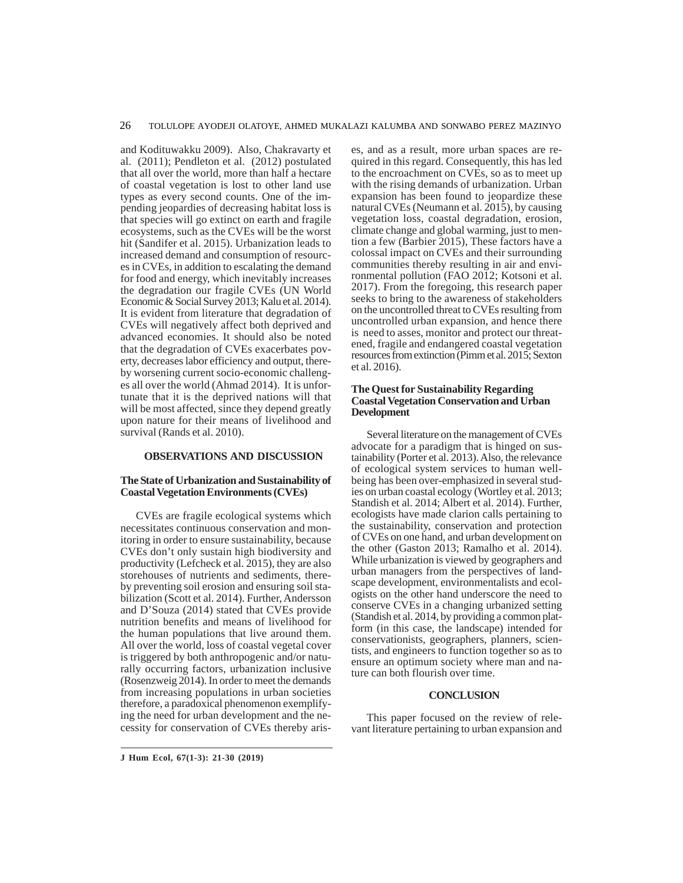and Kodituwakku 2009). Also, Chakravarty et al. (2011); Pendleton et al. (2012) postulated that all over the world, more than half a hectare of coastal vegetation is lost to other land use types as every second counts. One of the impending jeopardies of decreasing habitat loss is that species will go extinct on earth and fragile ecosystems, such as the CVEs will be the worst hit (Sandifer et al. 2015). Urbanization leads to increased demand and consumption of resources in CVEs, in addition to escalating the demand for food and energy, which inevitably increases the degradation our fragile CVEs (UN World Economic & Social Survey 2013; Kalu et al. 2014). It is evident from literature that degradation of CVEs will negatively affect both deprived and advanced economies. It should also be noted that the degradation of CVEs exacerbates poverty, decreases labor efficiency and output, thereby worsening current socio-economic challenges all over the world (Ahmad 2014). It is unfortunate that it is the deprived nations will that will be most affected, since they depend greatly upon nature for their means of livelihood and survival (Rands et al. 2010).

# **OBSERVATIONS AND DISCUSSION**

## **The State of Urbanization and Sustainability of Coastal Vegetation Environments (CVEs)**

CVEs are fragile ecological systems which necessitates continuous conservation and monitoring in order to ensure sustainability, because CVEs don't only sustain high biodiversity and productivity (Lefcheck et al. 2015), they are also storehouses of nutrients and sediments, thereby preventing soil erosion and ensuring soil stabilization (Scott et al. 2014). Further, Andersson and D'Souza (2014) stated that CVEs provide nutrition benefits and means of livelihood for the human populations that live around them. All over the world, loss of coastal vegetal cover is triggered by both anthropogenic and/or naturally occurring factors, urbanization inclusive (Rosenzweig 2014). In order to meet the demands from increasing populations in urban societies therefore, a paradoxical phenomenon exemplifying the need for urban development and the necessity for conservation of CVEs thereby arises, and as a result, more urban spaces are required in this regard. Consequently, this has led to the encroachment on CVEs, so as to meet up with the rising demands of urbanization. Urban expansion has been found to jeopardize these natural CVEs (Neumann et al. 2015), by causing vegetation loss, coastal degradation, erosion, climate change and global warming, just to mention a few (Barbier 2015), These factors have a colossal impact on CVEs and their surrounding communities thereby resulting in air and environmental pollution (FAO 2012; Kotsoni et al. 2017). From the foregoing, this research paper seeks to bring to the awareness of stakeholders on the uncontrolled threat to CVEs resulting from uncontrolled urban expansion, and hence there is need to asses, monitor and protect our threatened, fragile and endangered coastal vegetation resources from extinction (Pimm et al. 2015; Sexton et al. 2016).

## **The Quest for Sustainability Regarding Coastal Vegetation Conservation and Urban Development**

Several literature on the management of CVEs advocate for a paradigm that is hinged on sustainability (Porter et al. 2013). Also, the relevance of ecological system services to human wellbeing has been over-emphasized in several studies on urban coastal ecology (Wortley et al. 2013; Standish et al. 2014; Albert et al. 2014). Further, ecologists have made clarion calls pertaining to the sustainability, conservation and protection of CVEs on one hand, and urban development on the other (Gaston 2013; Ramalho et al. 2014). While urbanization is viewed by geographers and urban managers from the perspectives of landscape development, environmentalists and ecologists on the other hand underscore the need to conserve CVEs in a changing urbanized setting (Standish et al. 2014, by providing a common platform (in this case, the landscape) intended for conservationists, geographers, planners, scientists, and engineers to function together so as to ensure an optimum society where man and nature can both flourish over time.

# **CONCLUSION**

This paper focused on the review of relevant literature pertaining to urban expansion and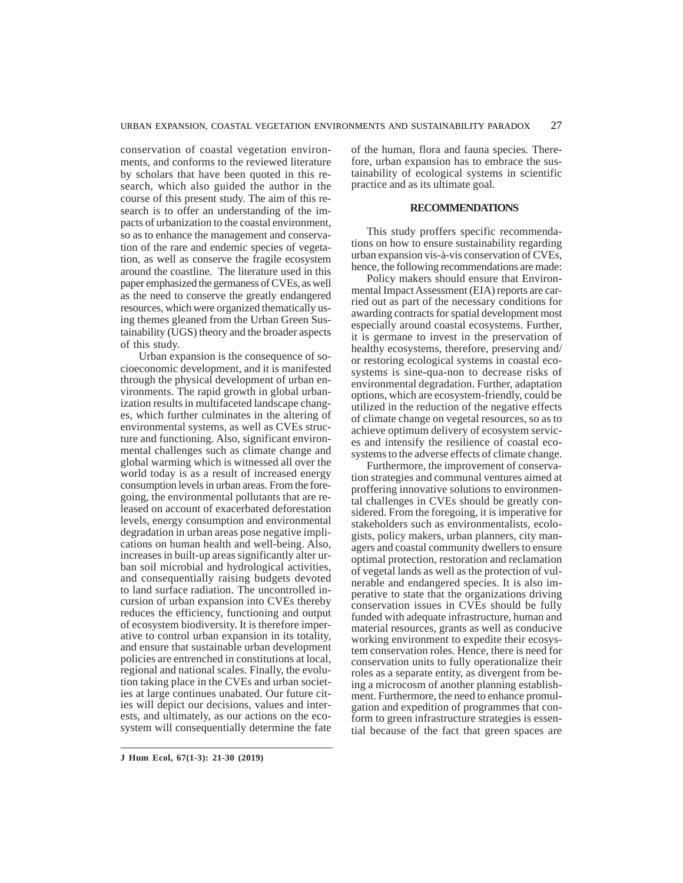conservation of coastal vegetation environments, and conforms to the reviewed literature by scholars that have been quoted in this research, which also guided the author in the course of this present study. The aim of this research is to offer an understanding of the impacts of urbanization to the coastal environment, so as to enhance the management and conservation of the rare and endemic species of vegetation, as well as conserve the fragile ecosystem around the coastline. The literature used in this paper emphasized the germaness of CVEs, as well as the need to conserve the greatly endangered resources, which were organized thematically using themes gleaned from the Urban Green Sustainability (UGS) theory and the broader aspects of this study.

 Urban expansion is the consequence of socioeconomic development, and it is manifested through the physical development of urban environments. The rapid growth in global urbanization results in multifaceted landscape changes, which further culminates in the altering of environmental systems, as well as CVEs structure and functioning. Also, significant environmental challenges such as climate change and global warming which is witnessed all over the world today is as a result of increased energy consumption levels in urban areas. From the foregoing, the environmental pollutants that are released on account of exacerbated deforestation levels, energy consumption and environmental degradation in urban areas pose negative implications on human health and well-being. Also, increases in built-up areas significantly alter urban soil microbial and hydrological activities, and consequentially raising budgets devoted to land surface radiation. The uncontrolled incursion of urban expansion into CVEs thereby reduces the efficiency, functioning and output of ecosystem biodiversity. It is therefore imperative to control urban expansion in its totality, and ensure that sustainable urban development policies are entrenched in constitutions at local, regional and national scales. Finally, the evolution taking place in the CVEs and urban societies at large continues unabated. Our future cities will depict our decisions, values and interests, and ultimately, as our actions on the ecosystem will consequentially determine the fate

of the human, flora and fauna species. Therefore, urban expansion has to embrace the sustainability of ecological systems in scientific practice and as its ultimate goal.

## **RECOMMENDATIONS**

This study proffers specific recommendations on how to ensure sustainability regarding urban expansion vis-à-vis conservation of CVEs, hence, the following recommendations are made:

Policy makers should ensure that Environmental Impact Assessment (EIA) reports are carried out as part of the necessary conditions for awarding contracts for spatial development most especially around coastal ecosystems. Further, it is germane to invest in the preservation of healthy ecosystems, therefore, preserving and/ or restoring ecological systems in coastal ecosystems is sine-qua-non to decrease risks of environmental degradation. Further, adaptation options, which are ecosystem-friendly, could be utilized in the reduction of the negative effects of climate change on vegetal resources, so as to achieve optimum delivery of ecosystem services and intensify the resilience of coastal ecosystems to the adverse effects of climate change.

Furthermore, the improvement of conservation strategies and communal ventures aimed at proffering innovative solutions to environmental challenges in CVEs should be greatly considered. From the foregoing, it is imperative for stakeholders such as environmentalists, ecologists, policy makers, urban planners, city managers and coastal community dwellers to ensure optimal protection, restoration and reclamation of vegetal lands as well as the protection of vulnerable and endangered species. It is also imperative to state that the organizations driving conservation issues in CVEs should be fully funded with adequate infrastructure, human and material resources, grants as well as conducive working environment to expedite their ecosystem conservation roles. Hence, there is need for conservation units to fully operationalize their roles as a separate entity, as divergent from being a microcosm of another planning establishment. Furthermore, the need to enhance promulgation and expedition of programmes that conform to green infrastructure strategies is essential because of the fact that green spaces are

**J Hum Ecol, 67(1-3): 21-30 (2019)**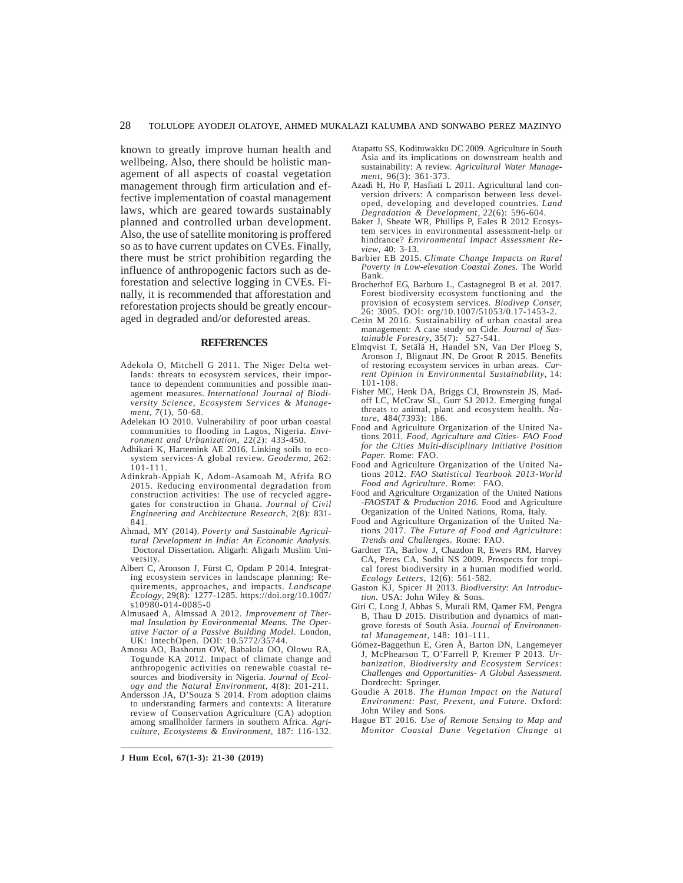known to greatly improve human health and wellbeing. Also, there should be holistic management of all aspects of coastal vegetation management through firm articulation and effective implementation of coastal management laws, which are geared towards sustainably planned and controlled urban development. Also, the use of satellite monitoring is proffered so as to have current updates on CVEs. Finally, there must be strict prohibition regarding the influence of anthropogenic factors such as deforestation and selective logging in CVEs. Finally, it is recommended that afforestation and reforestation projects should be greatly encouraged in degraded and/or deforested areas.

#### **REFERENCES**

- Adekola O, Mitchell G 2011. The Niger Delta wetlands: threats to ecosystem services, their importance to dependent communities and possible management measures. *International Journal of Biodiversity Science, Ecosystem Services & Management*, *7*(1), 50-68.
- Adelekan IO 2010. Vulnerability of poor urban coastal communities to flooding in Lagos, Nigeria. *Environment and Urbanization*, 22(2): 433-450.
- Adhikari K, Hartemink AE 2016. Linking soils to ecosystem services-A global review. *Geoderma*, 262: 101-111.
- Adinkrah-Appiah K, Adom-Asamoah M, Afrifa RO 2015. Reducing environmental degradation from construction activities: The use of recycled aggregates for construction in Ghana. *Journal of Civil Engineering and Architecture Research*, 2(8): 831- 841.
- Ahmad, MY (2014). *Poverty and Sustainable Agricultural Development in India: An Economic Analysis*. Doctoral Dissertation. Aligarh: Aligarh Muslim University.
- Albert C, Aronson J, Fürst C, Opdam P 2014. Integrating ecosystem services in landscape planning: Requirements, approaches, and impacts. *Landscape Ecology*, 29(8): 1277-1285. https://doi.org/10.1007/ s10980-014-0085-0
- Almusaed A, Almssad A 2012. *Improvement of Thermal Insulation by Environmental Means. The Operative Factor of a Passive Building Model*. London, UK: IntechOpen. DOI: 10.5772/35744.
- Amosu AO, Bashorun OW, Babalola OO, Olowu RA, Togunde KA 2012. Impact of climate change and anthropogenic activities on renewable coastal resources and biodiversity in Nigeria. *Journal of Ecology and the Natural Environment,* 4(8): 201-211.
- Andersson JA, D'Souza S 2014. From adoption claims to understanding farmers and contexts: A literature review of Conservation Agriculture (CA) adoption among smallholder farmers in southern Africa. *Agriculture, Ecosystems & Environment*, 187: 116-132.

Atapattu SS, Kodituwakku DC 2009. Agriculture in South Asia and its implications on downstream health and sustainability: A review. *Agricultural Water Management*, 96(3): 361-373.

- Azadi H, Ho P, Hasfiati L 2011. Agricultural land conversion drivers: A comparison between less developed, developing and developed countries. *Land Degradation & Development*, 22(6): 596-604.
- Baker J, Sheate WR, Phillips P, Eales R 2012 Ecosystem services in environmental assessment-help or hindrance? *Environmental Impact Assessment Review*, 40: 3-13.
- Barbier EB 2015. *Climate Change Impacts on Rural Poverty in Low-elevation Coastal Zones.* The World Bank.
- Brocherhof EG, Barburo L, Castagnegrol B et al. 2017. Forest biodiversity ecosystem functioning and the provision of ecosystem services. *Biodivep Conser,* 26: 3005. DOI: org/10.1007/51053/0.17-1453-2.
- Cetin M 2016. Sustainability of urban coastal area management: A case study on Cide. *Journal of Sustainable Forestry*, 35(7): 527-541.
- Elmqvist T, Setälä H, Handel SN, Van Der Ploeg S, Aronson J, Blignaut JN, De Groot R 2015. Benefits of restoring ecosystem services in urban areas. *Current Opinion in Environmental Sustainability*, 14: 101-108.
- Fisher MC, Henk DA, Briggs CJ, Brownstein JS, Madoff LC, McCraw SL, Gurr SJ 2012. Emerging fungal threats to animal, plant and ecosystem health. *Na- ture*, 484(7393): 186.
- Food and Agriculture Organization of the United Nations 2011. *Food, Agriculture and Cities- FAO Food for the Cities Multi-disciplinary Initiative Position Paper.* Rome: FAO.
- Food and Agriculture Organization of the United Nations 2012. *FAO Statistical Yearbook 2013-World Food and Agriculture*. Rome: FAO.
- Food and Agriculture Organization of the United Nations -*FAOSTAT & Production 2016*. Food and Agriculture Organization of the United Nations, Roma, Italy.
- Food and Agriculture Organization of the United Nations 2017. *The Future of Food and Agriculture: Trends and Challenges*. Rome: FAO.
- Gardner TA, Barlow J, Chazdon R, Ewers RM, Harvey CA, Peres CA, Sodhi NS 2009. Prospects for tropical forest biodiversity in a human modified world. *Ecology Letters*, 12(6): 561-582.
- Gaston KJ, Spicer JI 2013. *Biodiversity*: *An Introduction.* USA: John Wiley & Sons.
- Giri C, Long J, Abbas S, Murali RM, Qamer FM, Pengra B, Thau D 2015. Distribution and dynamics of mangrove forests of South Asia. *Journal of Environmental Management*, 148: 101-111.
- Gómez-Baggethun E, Gren Å, Barton DN, Langemeyer J, McPhearson T, O'Farrell P, Kremer P 2013. *Urbanization, Biodiversity and Ecosystem Services: Challenges and Opportunities- A Global Assessment.* Dordrecht: Springer.
- Goudie A 2018. *The Human Impact on the Natural Environment: Past, Present, and Future.* Oxford: John Wiley and Sons.
- Hague BT 2016. *Use of Remote Sensing to Map and Monitor Coastal Dune Vegetation Change at*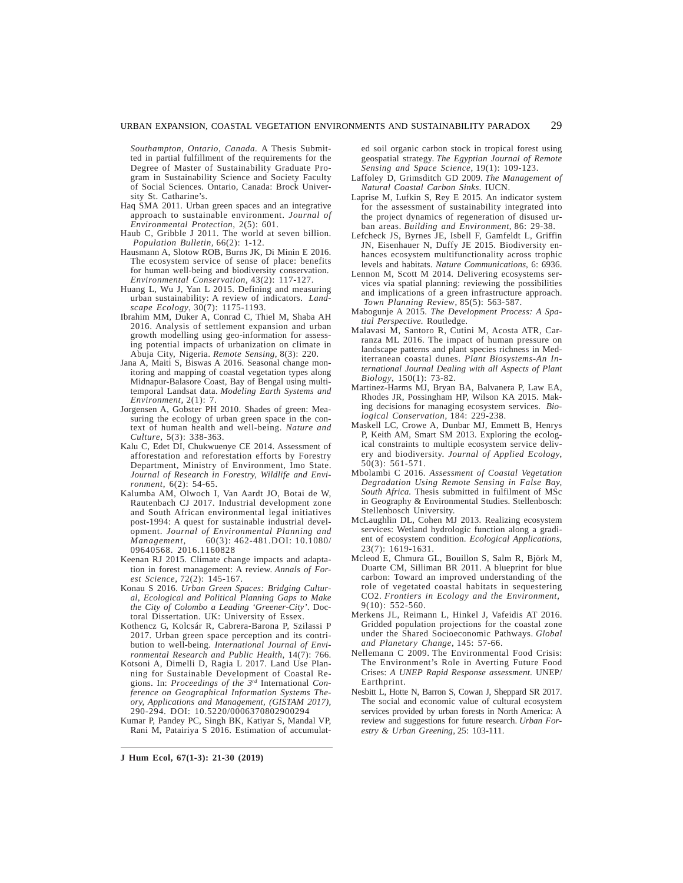#### URBAN EXPANSION, COASTAL VEGETATION ENVIRONMENTS AND SUSTAINABILITY PARADOX 29

*Southampton, Ontario, Canada.* A Thesis Submitted in partial fulfillment of the requirements for the Degree of Master of Sustainability Graduate Program in Sustainability Science and Society Faculty of Social Sciences. Ontario, Canada: Brock University St. Catharine's.

- Haq SMA 2011. Urban green spaces and an integrative approach to sustainable environment. *Journal of Environmental Protection*, 2(5): 601.
- Haub C, Gribble J 2011. The world at seven billion. *Population Bulletin,* 66(2): 1-12.
- Hausmann A, Slotow ROB, Burns JK, Di Minin E 2016. The ecosystem service of sense of place: benefits for human well-being and biodiversity conservation. *Environmental Conservation*, 43(2): 117-127.
- Huang L, Wu J, Yan L 2015. Defining and measuring urban sustainability: A review of indicators. *Landscape Ecology*, 30(7): 1175-1193.
- Ibrahim MM, Duker A, Conrad C, Thiel M, Shaba AH 2016. Analysis of settlement expansion and urban growth modelling using geo-information for assessing potential impacts of urbanization on climate in Abuja City, Nigeria. *Remote Sensing*, 8(3): 220.
- Jana A, Maiti S, Biswas A 2016. Seasonal change monitoring and mapping of coastal vegetation types along Midnapur-Balasore Coast, Bay of Bengal using multitemporal Landsat data. *Modeling Earth Systems and Environment,* 2(1): 7.
- Jorgensen A, Gobster PH 2010. Shades of green: Measuring the ecology of urban green space in the context of human health and well-being. *Nature and Culture*, 5(3): 338-363.
- Kalu C, Edet DI, Chukwuenye CE 2014. Assessment of afforestation and reforestation efforts by Forestry Department, Ministry of Environment, Imo State. *Journal of Research in Forestry, Wildlife and Environment*, 6(2): 54-65.
- Kalumba AM, Olwoch I, Van Aardt JO, Botai de W, Rautenbach CJ 2017. Industrial development zone and South African environmental legal initiatives post-1994: A quest for sustainable industrial development. *Journal of Environmental Planning and Management,* 60(3): 462-481.DOI: 10.1080/ 09640568. 2016.1160828
- Keenan RJ 2015. Climate change impacts and adaptation in forest management: A review. *Annals of Forest Science*, 72(2): 145-167.
- Konau S 2016. *Urban Green Spaces: Bridging Cultural, Ecological and Political Planning Gaps to Make the City of Colombo a Leading 'Greener-City'*. Doctoral Dissertation. UK: University of Essex.
- Kothencz G, Kolcsár R, Cabrera-Barona P, Szilassi P 2017. Urban green space perception and its contribution to well-being. *International Journal of Environmental Research and Public Health*, 14(7): 766.
- Kotsoni A, Dimelli D, Ragia L 2017. Land Use Planning for Sustainable Development of Coastal Regions. In: *Proceedings of the 3rd* International *Conference on Geographical Information Systems Theory, Applications and Management, (GISTAM 2017),* 290-294. DOI: 10.5220/0006370802900294
- Kumar P, Pandey PC, Singh BK, Katiyar S, Mandal VP, Rani M, Patairiya S 2016. Estimation of accumulat-

**J Hum Ecol, 67(1-3): 21-30 (2019)**

ed soil organic carbon stock in tropical forest using geospatial strategy. *The Egyptian Journal of Remote Sensing and Space Science*, 19(1): 109-123.

- Laffoley D, Grimsditch GD 2009. *The Management of Natural Coastal Carbon Sinks*. IUCN.
- Laprise M, Lufkin S, Rey E 2015. An indicator system for the assessment of sustainability integrated into the project dynamics of regeneration of disused urban areas. *Building and Environment*, 86: 29-38.
- Lefcheck JS, Byrnes JE, Isbell F, Gamfeldt L, Griffin JN, Eisenhauer N, Duffy JE 2015. Biodiversity enhances ecosystem multifunctionality across trophic levels and habitats. *Nature Communications*, 6: 6936.
- Lennon M, Scott M 2014. Delivering ecosystems services via spatial planning: reviewing the possibilities and implications of a green infrastructure approach. *Town Planning Review*, 85(5): 563-587.
- Mabogunje A 2015. *The Development Process: A Spatial Perspective.* Routledge.
- Malavasi M, Santoro R, Cutini M, Acosta ATR, Carranza ML 2016. The impact of human pressure on landscape patterns and plant species richness in Mediterranean coastal dunes. *Plant Biosystems-An International Journal Dealing with all Aspects of Plant Biology*, 150(1): 73-82.
- Martinez-Harms MJ, Bryan BA, Balvanera P, Law EA, Rhodes JR, Possingham HP, Wilson KA 2015. Making decisions for managing ecosystem services. *Biological Conservation*, 184: 229-238.
- Maskell LC, Crowe A, Dunbar MJ, Emmett B, Henrys P, Keith AM, Smart SM 2013. Exploring the ecological constraints to multiple ecosystem service delivery and biodiversity. *Journal of Applied Ecology*, 50(3): 561-571.
- Mbolambi C 2016. *Assessment of Coastal Vegetation Degradation Using Remote Sensing in False Bay, South Africa.* Thesis submitted in fulfilment of MSc in Geography & Environmental Studies. Stellenbosch: Stellenbosch University.
- McLaughlin DL, Cohen MJ 2013. Realizing ecosystem services: Wetland hydrologic function along a gradient of ecosystem condition. *Ecological Applications*, 23(7): 1619-1631.
- Mcleod E, Chmura GL, Bouillon S, Salm R, Björk M, Duarte CM, Silliman BR 2011. A blueprint for blue carbon: Toward an improved understanding of the role of vegetated coastal habitats in sequestering CO2. *Frontiers in Ecology and the Environment,*  9(10): 552-560.
- Merkens JL, Reimann L, Hinkel J, Vafeidis AT 2016. Gridded population projections for the coastal zone under the Shared Socioeconomic Pathways. *Global and Planetary Change*, 145: 57-66.
- Nellemann C 2009. The Environmental Food Crisis: The Environment's Role in Averting Future Food Crises: *A UNEP Rapid Response assessment*. UNEP/ Earthprint.
- Nesbitt L, Hotte N, Barron S, Cowan J, Sheppard SR 2017. The social and economic value of cultural ecosystem services provided by urban forests in North America: A review and suggestions for future research. *Urban Forestry & Urban Greening*, 25: 103-111.